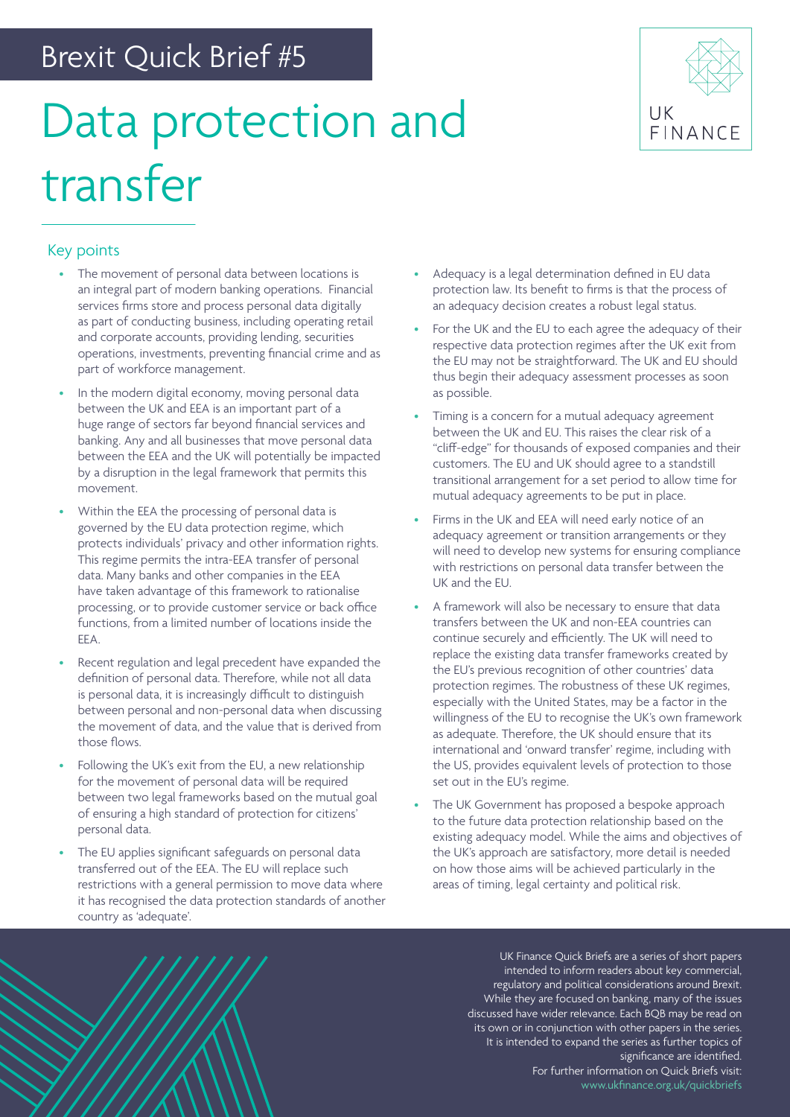## Brexit Quick Brief #5

# Data protection and transfer



#### Key points

- The movement of personal data between locations is an integral part of modern banking operations. Financial services firms store and process personal data digitally as part of conducting business, including operating retail and corporate accounts, providing lending, securities operations, investments, preventing financial crime and as part of workforce management.
- In the modern digital economy, moving personal data between the UK and EEA is an important part of a huge range of sectors far beyond financial services and banking. Any and all businesses that move personal data between the EEA and the UK will potentially be impacted by a disruption in the legal framework that permits this movement.
- Within the EEA the processing of personal data is governed by the EU data protection regime, which protects individuals' privacy and other information rights. This regime permits the intra-EEA transfer of personal data. Many banks and other companies in the EEA have taken advantage of this framework to rationalise processing, or to provide customer service or back office functions, from a limited number of locations inside the EEA.
- Recent regulation and legal precedent have expanded the definition of personal data. Therefore, while not all data is personal data, it is increasingly difficult to distinguish between personal and non-personal data when discussing the movement of data, and the value that is derived from those flows.
- Following the UK's exit from the EU, a new relationship for the movement of personal data will be required between two legal frameworks based on the mutual goal of ensuring a high standard of protection for citizens' personal data.
- The EU applies significant safeguards on personal data transferred out of the EEA. The EU will replace such restrictions with a general permission to move data where it has recognised the data protection standards of another country as 'adequate'.
- Adequacy is a legal determination defined in EU data protection law. Its benefit to firms is that the process of an adequacy decision creates a robust legal status.
- For the UK and the EU to each agree the adequacy of their respective data protection regimes after the UK exit from the EU may not be straightforward. The UK and EU should thus begin their adequacy assessment processes as soon as possible.
- Timing is a concern for a mutual adequacy agreement between the UK and EU. This raises the clear risk of a "cliff-edge" for thousands of exposed companies and their customers. The EU and UK should agree to a standstill transitional arrangement for a set period to allow time for mutual adequacy agreements to be put in place.
- Firms in the UK and EEA will need early notice of an adequacy agreement or transition arrangements or they will need to develop new systems for ensuring compliance with restrictions on personal data transfer between the UK and the EU.
- A framework will also be necessary to ensure that data transfers between the UK and non-EEA countries can continue securely and efficiently. The UK will need to replace the existing data transfer frameworks created by the EU's previous recognition of other countries' data protection regimes. The robustness of these UK regimes, especially with the United States, may be a factor in the willingness of the EU to recognise the UK's own framework as adequate. Therefore, the UK should ensure that its international and 'onward transfer' regime, including with the US, provides equivalent levels of protection to those set out in the EU's regime.
- The UK Government has proposed a bespoke approach to the future data protection relationship based on the existing adequacy model. While the aims and objectives of the UK's approach are satisfactory, more detail is needed on how those aims will be achieved particularly in the areas of timing, legal certainty and political risk.

UK Finance Quick Briefs are a series of short papers intended to inform readers about key commercial, regulatory and political considerations around Brexit. While they are focused on banking, many of the issues discussed have wider relevance. Each BQB may be read on its own or in conjunction with other papers in the series. It is intended to expand the series as further topics of significance are identified. For further information on Quick Briefs visit:

[www.ukfinance.org.uk/quickbriefs](http://www.ukfinance.org.uk/quickbriefs)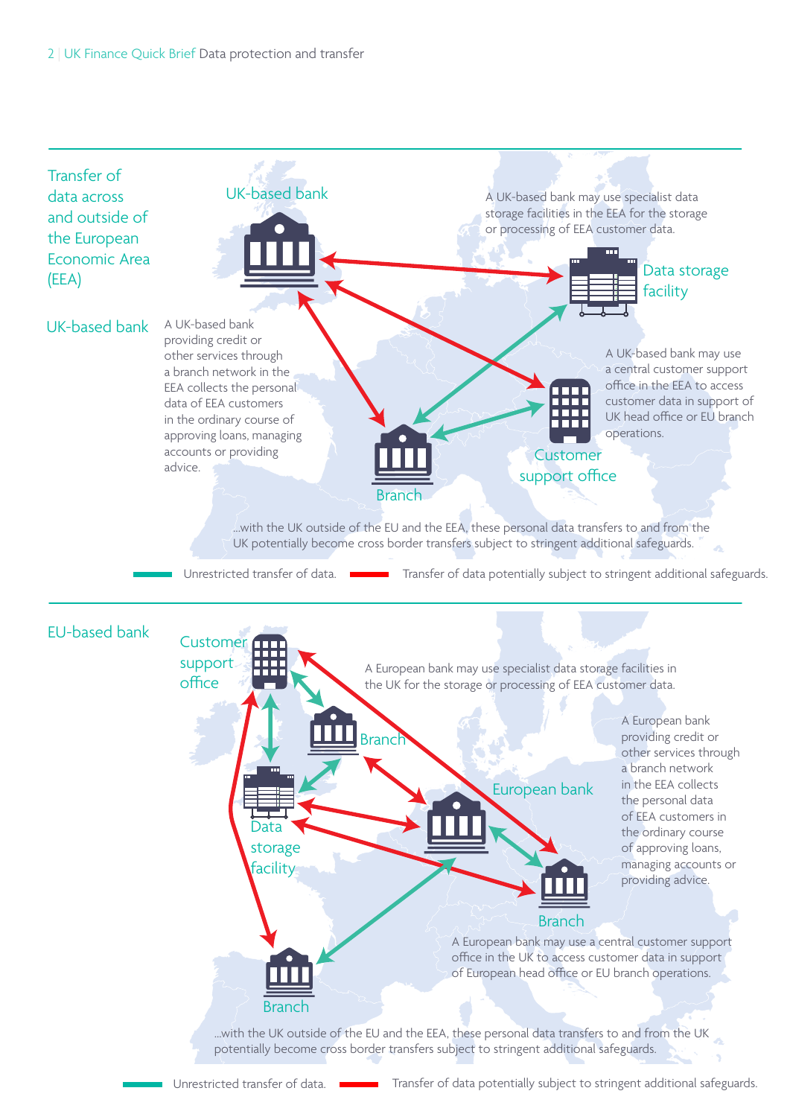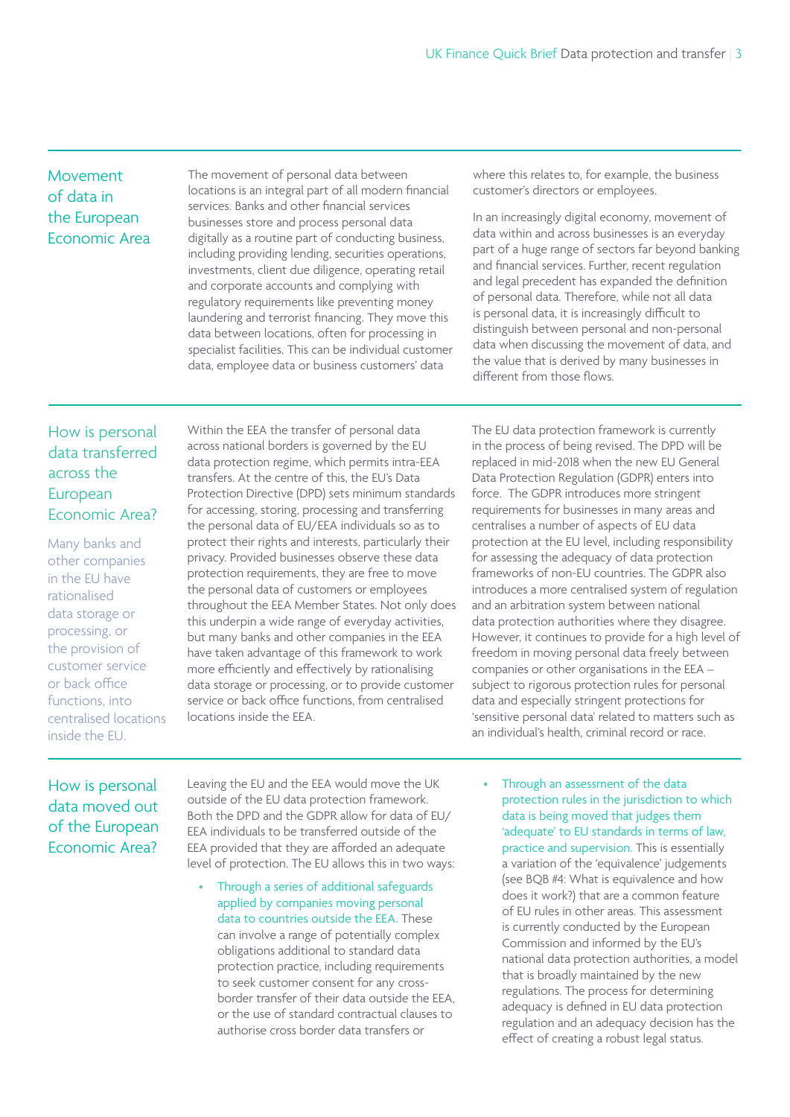#### Movement of data in the European Economic Area

The movement of personal data between locations is an integral part of all modern financial services. Banks and other financial services businesses store and process personal data digitally as a routine part of conducting business, including providing lending, securities operations, investments, client due diligence, operating retail and corporate accounts and complying with regulatory requirements like preventing money laundering and terrorist financing. They move this data between locations, often for processing in specialist facilities. This can be individual customer data, employee data or business customers' data

where this relates to, for example, the business customer's directors or employees.

In an increasingly digital economy, movement of data within and across businesses is an everyday part of a huge range of sectors far beyond banking and financial services. Further, recent regulation and legal precedent has expanded the definition of personal data. Therefore, while not all data is personal data, it is increasingly difficult to distinguish between personal and non-personal data when discussing the movement of data, and the value that is derived by many businesses in different from those flows.

### How is personal data transferred across the European Economic Area?

Many banks and other companies in the EU have rationalised data storage or processing, or the provision of customer service or back office functions, into centralised locations inside the EU.

Within the EEA the transfer of personal data across national borders is governed by the EU data protection regime, which permits intra-EEA transfers. At the centre of this, the EU's Data Protection Directive (DPD) sets minimum standards for accessing, storing, processing and transferring the personal data of EU/EEA individuals so as to protect their rights and interests, particularly their privacy. Provided businesses observe these data protection requirements, they are free to move the personal data of customers or employees throughout the EEA Member States. Not only does this underpin a wide range of everyday activities, but many banks and other companies in the EEA have taken advantage of this framework to work more efficiently and effectively by rationalising data storage or processing, or to provide customer service or back office functions, from centralised locations inside the EEA.

The EU data protection framework is currently in the process of being revised. The DPD will be replaced in mid-2018 when the new EU General Data Protection Regulation (GDPR) enters into force. The GDPR introduces more stringent requirements for businesses in many areas and centralises a number of aspects of EU data protection at the EU level, including responsibility for assessing the adequacy of data protection frameworks of non-EU countries. The GDPR also introduces a more centralised system of regulation and an arbitration system between national data protection authorities where they disagree. However, it continues to provide for a high level of freedom in moving personal data freely between companies or other organisations in the EEA – subject to rigorous protection rules for personal data and especially stringent protections for 'sensitive personal data' related to matters such as an individual's health, criminal record or race.

#### How is personal data moved out of the European Economic Area?

Leaving the EU and the EEA would move the UK outside of the EU data protection framework. Both the DPD and the GDPR allow for data of EU/ EEA individuals to be transferred outside of the EEA provided that they are afforded an adequate level of protection. The EU allows this in two ways:

- Through a series of additional safeguards applied by companies moving personal data to countries outside the EEA. These can involve a range of potentially complex obligations additional to standard data protection practice, including requirements to seek customer consent for any crossborder transfer of their data outside the EEA, or the use of standard contractual clauses to authorise cross border data transfers or
- Through an assessment of the data protection rules in the jurisdiction to which data is being moved that judges them 'adequate' to EU standards in terms of law, practice and supervision. This is essentially a variation of the 'equivalence' judgements (see BQB #4: What is equivalence and how does it work?) that are a common feature of EU rules in other areas. This assessment is currently conducted by the European Commission and informed by the EU's national data protection authorities, a model that is broadly maintained by the new regulations. The process for determining adequacy is defined in EU data protection regulation and an adequacy decision has the effect of creating a robust legal status.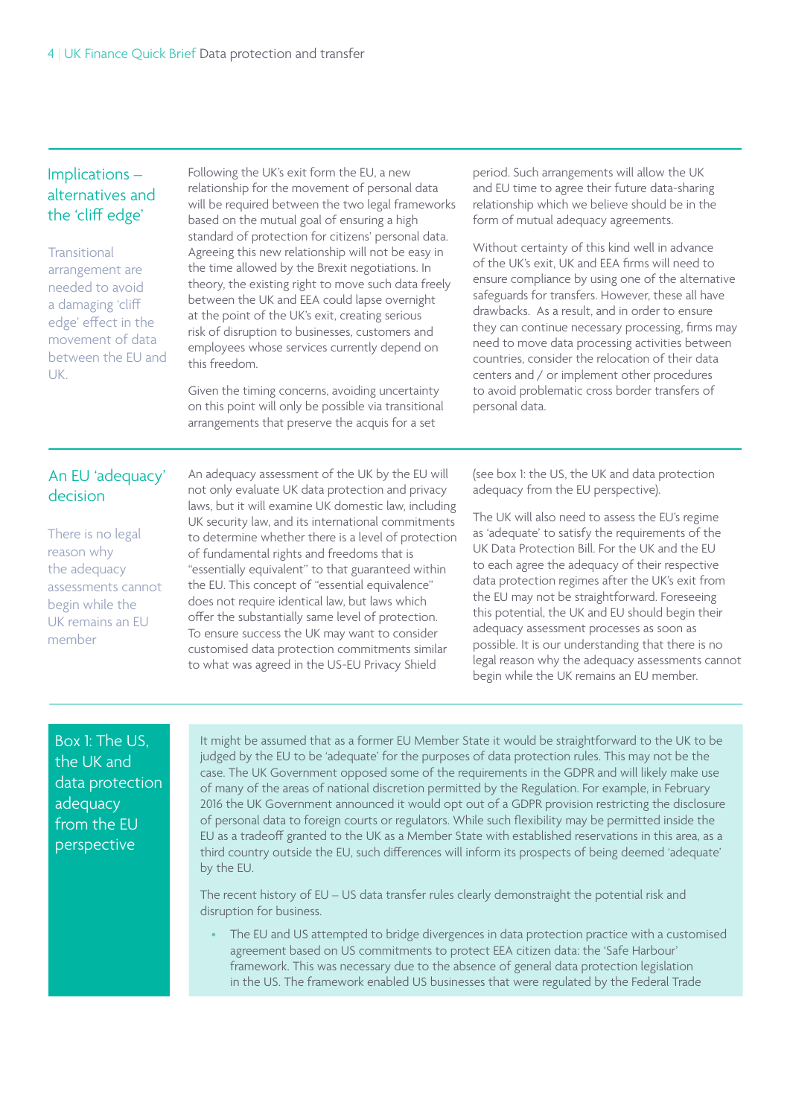#### Implications – alternatives and the 'cliff edge'

**Transitional** arrangement are needed to avoid a damaging 'cliff edge' effect in the movement of data between the EU and UK.

Following the UK's exit form the EU, a new relationship for the movement of personal data will be required between the two legal frameworks based on the mutual goal of ensuring a high standard of protection for citizens' personal data. Agreeing this new relationship will not be easy in the time allowed by the Brexit negotiations. In theory, the existing right to move such data freely between the UK and EEA could lapse overnight at the point of the UK's exit, creating serious risk of disruption to businesses, customers and employees whose services currently depend on this freedom.

Given the timing concerns, avoiding uncertainty on this point will only be possible via transitional arrangements that preserve the acquis for a set

period. Such arrangements will allow the UK and EU time to agree their future data-sharing relationship which we believe should be in the form of mutual adequacy agreements.

Without certainty of this kind well in advance of the UK's exit, UK and EEA firms will need to ensure compliance by using one of the alternative safeguards for transfers. However, these all have drawbacks. As a result, and in order to ensure they can continue necessary processing, firms may need to move data processing activities between countries, consider the relocation of their data centers and / or implement other procedures to avoid problematic cross border transfers of personal data.

#### An EU 'adequacy' decision

There is no legal reason why the adequacy assessments cannot begin while the UK remains an EU member

An adequacy assessment of the UK by the EU will not only evaluate UK data protection and privacy laws, but it will examine UK domestic law, including UK security law, and its international commitments to determine whether there is a level of protection of fundamental rights and freedoms that is "essentially equivalent" to that guaranteed within the EU. This concept of "essential equivalence" does not require identical law, but laws which offer the substantially same level of protection. To ensure success the UK may want to consider customised data protection commitments similar to what was agreed in the US-EU Privacy Shield

(see box 1: the US, the UK and data protection adequacy from the EU perspective).

The UK will also need to assess the EU's regime as 'adequate' to satisfy the requirements of the UK Data Protection Bill. For the UK and the EU to each agree the adequacy of their respective data protection regimes after the UK's exit from the EU may not be straightforward. Foreseeing this potential, the UK and EU should begin their adequacy assessment processes as soon as possible. It is our understanding that there is no legal reason why the adequacy assessments cannot begin while the UK remains an EU member.

#### Box 1: The US, the UK and data protection adequacy from the EU perspective

It might be assumed that as a former EU Member State it would be straightforward to the UK to be judged by the EU to be 'adequate' for the purposes of data protection rules. This may not be the case. The UK Government opposed some of the requirements in the GDPR and will likely make use of many of the areas of national discretion permitted by the Regulation. For example, in February 2016 the UK Government announced it would opt out of a GDPR provision restricting the disclosure of personal data to foreign courts or regulators. While such flexibility may be permitted inside the EU as a tradeoff granted to the UK as a Member State with established reservations in this area, as a third country outside the EU, such differences will inform its prospects of being deemed 'adequate' by the EU.

The recent history of EU – US data transfer rules clearly demonstraight the potential risk and disruption for business.

The EU and US attempted to bridge divergences in data protection practice with a customised agreement based on US commitments to protect EEA citizen data: the 'Safe Harbour' framework. This was necessary due to the absence of general data protection legislation in the US. The framework enabled US businesses that were regulated by the Federal Trade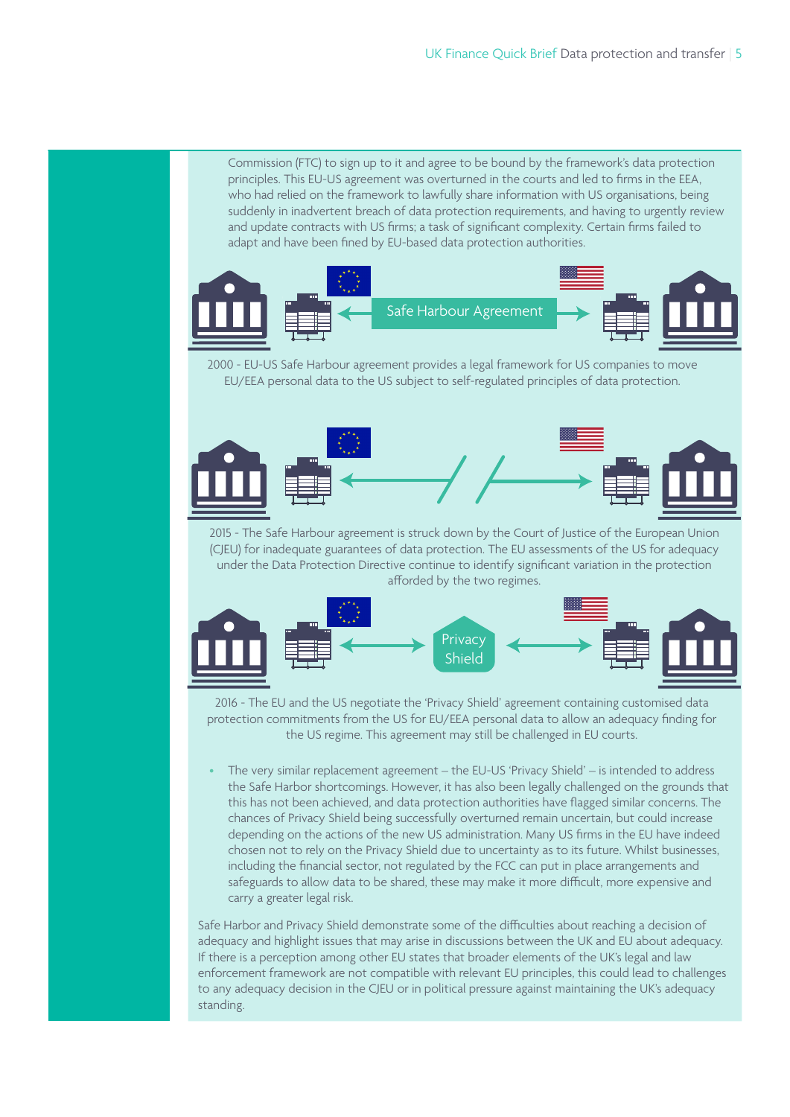Commission (FTC) to sign up to it and agree to be bound by the framework's data protection principles. This EU-US agreement was overturned in the courts and led to firms in the EEA, who had relied on the framework to lawfully share information with US organisations, being suddenly in inadvertent breach of data protection requirements, and having to urgently review and update contracts with US firms; a task of significant complexity. Certain firms failed to adapt and have been fined by EU-based data protection authorities.



2000 - EU-US Safe Harbour agreement provides a legal framework for US companies to move EU/EEA personal data to the US subject to self-regulated principles of data protection.



2015 - The Safe Harbour agreement is struck down by the Court of Justice of the European Union (CJEU) for inadequate guarantees of data protection. The EU assessments of the US for adequacy under the Data Protection Directive continue to identify significant variation in the protection afforded by the two regimes.



2016 - The EU and the US negotiate the 'Privacy Shield' agreement containing customised data protection commitments from the US for EU/EEA personal data to allow an adequacy finding for the US regime. This agreement may still be challenged in EU courts.

• The very similar replacement agreement – the EU-US 'Privacy Shield' – is intended to address the Safe Harbor shortcomings. However, it has also been legally challenged on the grounds that this has not been achieved, and data protection authorities have flagged similar concerns. The chances of Privacy Shield being successfully overturned remain uncertain, but could increase depending on the actions of the new US administration. Many US firms in the EU have indeed chosen not to rely on the Privacy Shield due to uncertainty as to its future. Whilst businesses, including the financial sector, not regulated by the FCC can put in place arrangements and safeguards to allow data to be shared, these may make it more difficult, more expensive and carry a greater legal risk.

Safe Harbor and Privacy Shield demonstrate some of the difficulties about reaching a decision of adequacy and highlight issues that may arise in discussions between the UK and EU about adequacy. If there is a perception among other EU states that broader elements of the UK's legal and law enforcement framework are not compatible with relevant EU principles, this could lead to challenges to any adequacy decision in the CJEU or in political pressure against maintaining the UK's adequacy standing.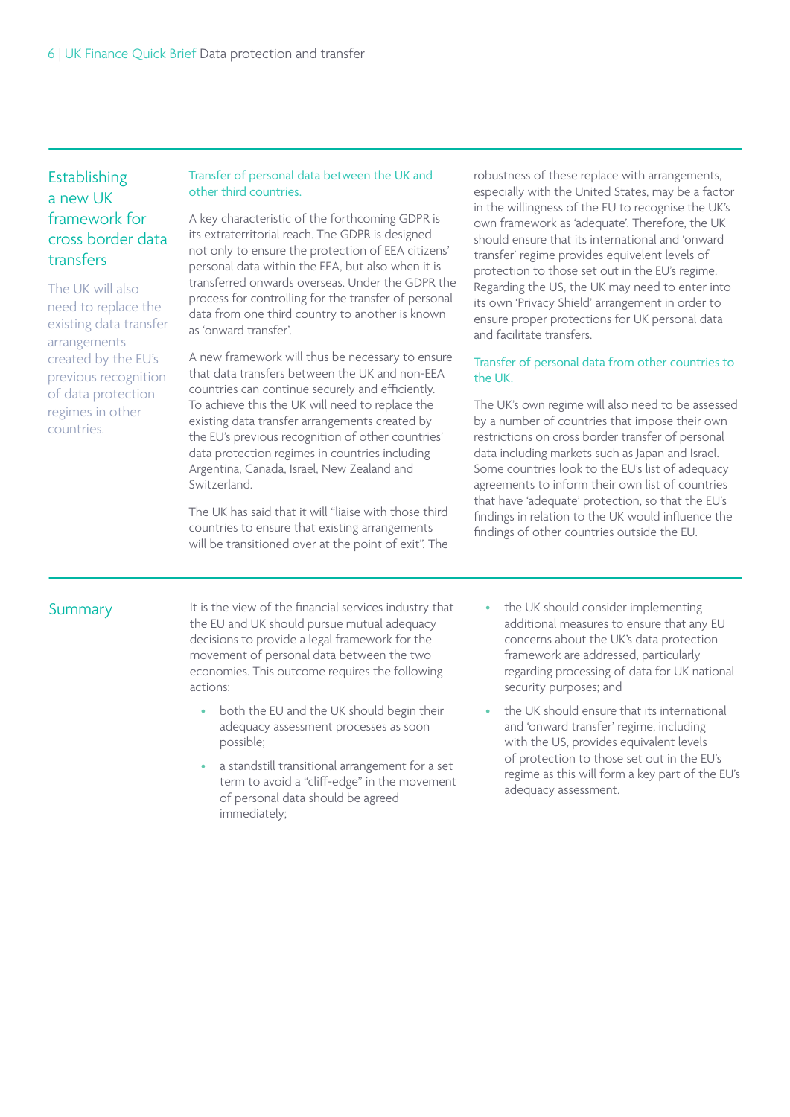#### **Establishing** a new UK framework for cross border data transfers

The UK will also need to replace the existing data transfer arrangements created by the EU's previous recognition of data protection regimes in other countries.

#### Transfer of personal data between the UK and other third countries.

A key characteristic of the forthcoming GDPR is its extraterritorial reach. The GDPR is designed not only to ensure the protection of EEA citizens' personal data within the EEA, but also when it is transferred onwards overseas. Under the GDPR the process for controlling for the transfer of personal data from one third country to another is known as 'onward transfer'.

A new framework will thus be necessary to ensure that data transfers between the UK and non-EEA countries can continue securely and efficiently. To achieve this the UK will need to replace the existing data transfer arrangements created by the EU's previous recognition of other countries' data protection regimes in countries including Argentina, Canada, Israel, New Zealand and Switzerland.

The UK has said that it will "liaise with those third countries to ensure that existing arrangements will be transitioned over at the point of exit". The robustness of these replace with arrangements, especially with the United States, may be a factor in the willingness of the EU to recognise the UK's own framework as 'adequate'. Therefore, the UK should ensure that its international and 'onward transfer' regime provides equivelent levels of protection to those set out in the EU's regime. Regarding the US, the UK may need to enter into its own 'Privacy Shield' arrangement in order to ensure proper protections for UK personal data and facilitate transfers.

#### Transfer of personal data from other countries to the UK.

The UK's own regime will also need to be assessed by a number of countries that impose their own restrictions on cross border transfer of personal data including markets such as Japan and Israel. Some countries look to the EU's list of adequacy agreements to inform their own list of countries that have 'adequate' protection, so that the EU's findings in relation to the UK would influence the findings of other countries outside the EU.

#### Summary

It is the view of the financial services industry that the EU and UK should pursue mutual adequacy decisions to provide a legal framework for the movement of personal data between the two economies. This outcome requires the following actions:

- both the EU and the UK should begin their adequacy assessment processes as soon possible;
- a standstill transitional arrangement for a set term to avoid a "cliff-edge" in the movement of personal data should be agreed immediately;
- the UK should consider implementing additional measures to ensure that any EU concerns about the UK's data protection framework are addressed, particularly regarding processing of data for UK national security purposes; and
- the UK should ensure that its international and 'onward transfer' regime, including with the US, provides equivalent levels of protection to those set out in the EU's regime as this will form a key part of the EU's adequacy assessment.